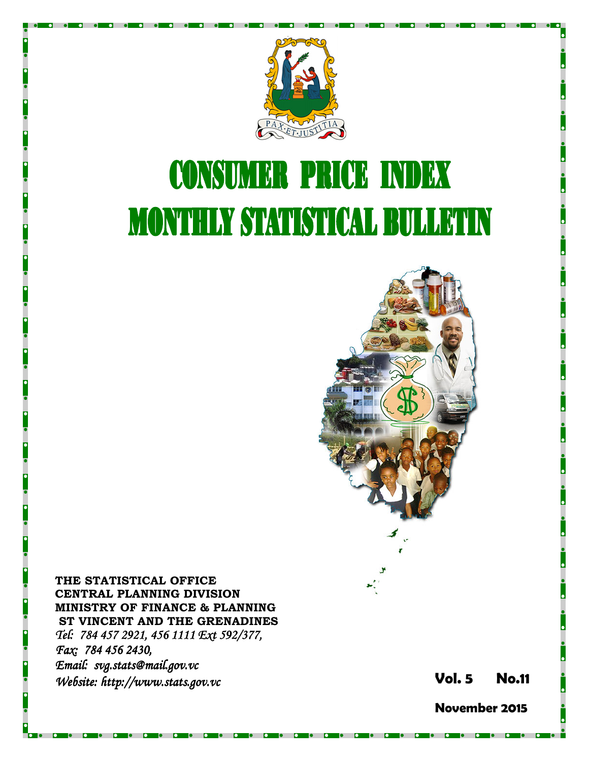

# **CONSUMER PRICE INDEX MONTHLY STATISTICAL BULLETIN**



THE STATISTICAL OFFICE CENTRAL PLANNING DIVISION MINISTRY OF FINANCE & PLANNING ST VINCENT AND THE GRENADINES Tel: 784 457 2921, 456 1111 Ext 592/377, Fax: 784 456 2430, Email: svg.stats@mail.gov.vc Website: http://www.stats.gov.vc **Stats.gov.vc** Stats.gov.vc Stats.gov.vc Vol. 5 No.11

November 2015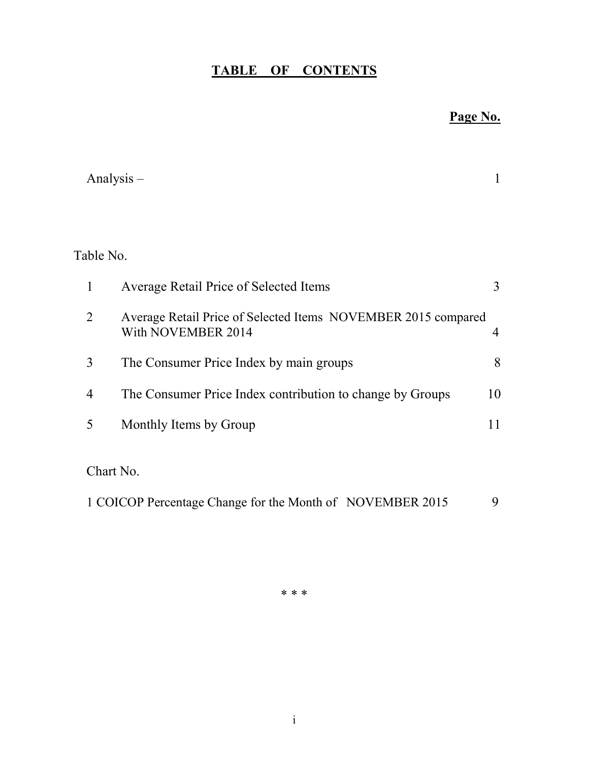# TABLE OF CONTENTS

# Page No.

| Analysis $-$   |                                                                                     |    |
|----------------|-------------------------------------------------------------------------------------|----|
|                |                                                                                     |    |
| Table No.      |                                                                                     |    |
| 1              | Average Retail Price of Selected Items                                              | 3  |
| $\overline{2}$ | Average Retail Price of Selected Items NOVEMBER 2015 compared<br>With NOVEMBER 2014 | 4  |
| 3              | The Consumer Price Index by main groups                                             | 8  |
| 4              | The Consumer Price Index contribution to change by Groups                           | 10 |
| 5              | Monthly Items by Group                                                              | 11 |
| Chart No.      |                                                                                     |    |
|                | 1 COICOP Percentage Change for the Month of NOVEMBER 2015                           | 9  |

\* \* \*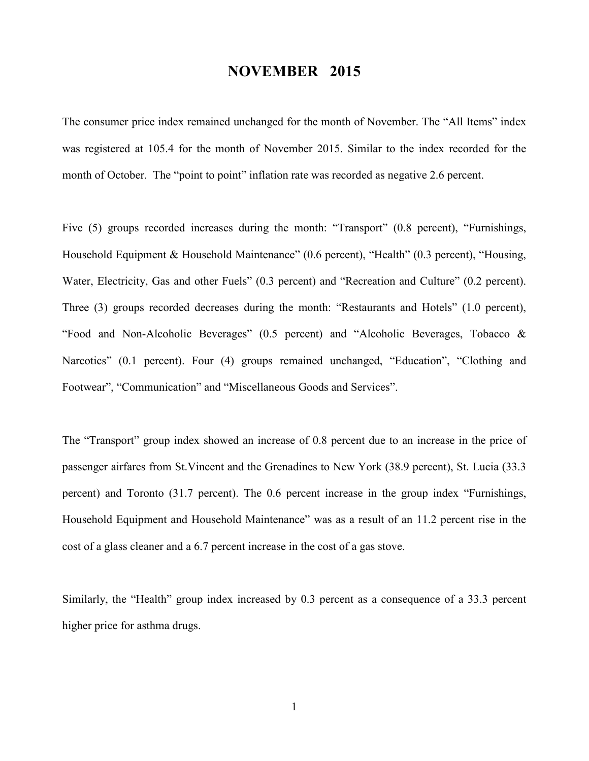## NOVEMBER 2015

The consumer price index remained unchanged for the month of November. The "All Items" index was registered at 105.4 for the month of November 2015. Similar to the index recorded for the month of October. The "point to point" inflation rate was recorded as negative 2.6 percent.

Five (5) groups recorded increases during the month: "Transport" (0.8 percent), "Furnishings, Household Equipment & Household Maintenance" (0.6 percent), "Health" (0.3 percent), "Housing, Water, Electricity, Gas and other Fuels" (0.3 percent) and "Recreation and Culture" (0.2 percent). Three (3) groups recorded decreases during the month: "Restaurants and Hotels" (1.0 percent), "Food and Non-Alcoholic Beverages" (0.5 percent) and "Alcoholic Beverages, Tobacco & Narcotics" (0.1 percent). Four (4) groups remained unchanged, "Education", "Clothing and Footwear", "Communication" and "Miscellaneous Goods and Services".

The "Transport" group index showed an increase of 0.8 percent due to an increase in the price of passenger airfares from St.Vincent and the Grenadines to New York (38.9 percent), St. Lucia (33.3 percent) and Toronto (31.7 percent). The 0.6 percent increase in the group index "Furnishings, Household Equipment and Household Maintenance" was as a result of an 11.2 percent rise in the cost of a glass cleaner and a 6.7 percent increase in the cost of a gas stove.

Similarly, the "Health" group index increased by 0.3 percent as a consequence of a 33.3 percent higher price for asthma drugs.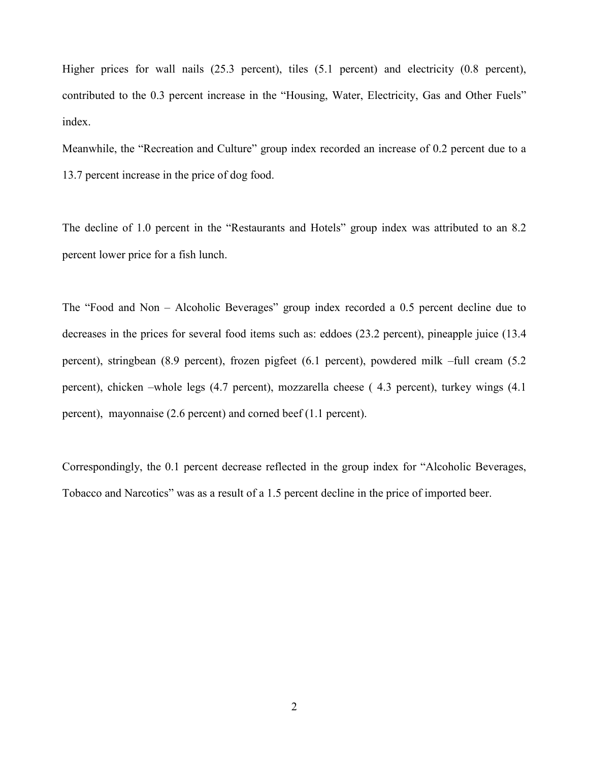Higher prices for wall nails (25.3 percent), tiles (5.1 percent) and electricity (0.8 percent), contributed to the 0.3 percent increase in the "Housing, Water, Electricity, Gas and Other Fuels" index.

Meanwhile, the "Recreation and Culture" group index recorded an increase of 0.2 percent due to a 13.7 percent increase in the price of dog food.

The decline of 1.0 percent in the "Restaurants and Hotels" group index was attributed to an 8.2 percent lower price for a fish lunch.

The "Food and Non – Alcoholic Beverages" group index recorded a 0.5 percent decline due to decreases in the prices for several food items such as: eddoes (23.2 percent), pineapple juice (13.4 percent), stringbean (8.9 percent), frozen pigfeet (6.1 percent), powdered milk –full cream (5.2 percent), chicken –whole legs (4.7 percent), mozzarella cheese ( 4.3 percent), turkey wings (4.1 percent), mayonnaise (2.6 percent) and corned beef (1.1 percent).

Correspondingly, the 0.1 percent decrease reflected in the group index for "Alcoholic Beverages, Tobacco and Narcotics" was as a result of a 1.5 percent decline in the price of imported beer.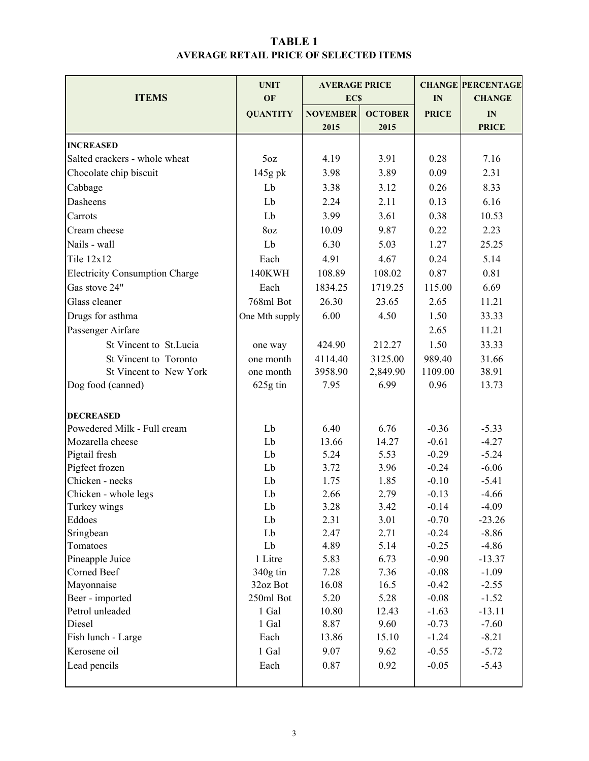### TABLE 1 AVERAGE RETAIL PRICE OF SELECTED ITEMS

|                                       | <b>UNIT</b>     | <b>AVERAGE PRICE</b> |                |              | <b>CHANGE PERCENTAGE</b> |
|---------------------------------------|-----------------|----------------------|----------------|--------------|--------------------------|
| <b>ITEMS</b>                          | OF              | <b>ECS</b>           |                | IN           | <b>CHANGE</b>            |
|                                       | <b>QUANTITY</b> | <b>NOVEMBER</b>      | <b>OCTOBER</b> | <b>PRICE</b> | $\mathbf{IN}$            |
|                                       |                 | 2015                 | 2015           |              | <b>PRICE</b>             |
| <b>INCREASED</b>                      |                 |                      |                |              |                          |
| Salted crackers - whole wheat         | 5oz             | 4.19                 | 3.91           | 0.28         | 7.16                     |
| Chocolate chip biscuit                | $145g$ pk       | 3.98                 | 3.89           | 0.09         | 2.31                     |
| Cabbage                               | Lb              | 3.38                 | 3.12           | 0.26         | 8.33                     |
| Dasheens                              | Lb              | 2.24                 | 2.11           | 0.13         | 6.16                     |
| Carrots                               | Lb              | 3.99                 | 3.61           | 0.38         | 10.53                    |
| Cream cheese                          | 8oz             | 10.09                | 9.87           | 0.22         | 2.23                     |
| Nails - wall                          | Lb              | 6.30                 | 5.03           | 1.27         | 25.25                    |
| <b>Tile 12x12</b>                     |                 | 4.91                 | 4.67           | 0.24         | 5.14                     |
|                                       | Each            |                      |                |              |                          |
| <b>Electricity Consumption Charge</b> | 140KWH          | 108.89               | 108.02         | 0.87         | 0.81                     |
| Gas stove 24"                         | Each            | 1834.25              | 1719.25        | 115.00       | 6.69                     |
| Glass cleaner                         | 768ml Bot       | 26.30                | 23.65          | 2.65         | 11.21                    |
| Drugs for asthma                      | One Mth supply  | 6.00                 | 4.50           | 1.50         | 33.33                    |
| Passenger Airfare                     |                 |                      |                | 2.65         | 11.21                    |
| St Vincent to St.Lucia                | one way         | 424.90               | 212.27         | 1.50         | 33.33                    |
| St Vincent to Toronto                 | one month       | 4114.40              | 3125.00        | 989.40       | 31.66                    |
| St Vincent to New York                | one month       | 3958.90              | 2,849.90       | 1109.00      | 38.91                    |
| Dog food (canned)                     | 625g tin        | 7.95                 | 6.99           | 0.96         | 13.73                    |
|                                       |                 |                      |                |              |                          |
| <b>DECREASED</b>                      |                 |                      |                |              |                          |
| Powedered Milk - Full cream           | Lb              | 6.40                 | 6.76           | $-0.36$      | $-5.33$                  |
| Mozarella cheese                      | Lb              | 13.66                | 14.27          | $-0.61$      | $-4.27$                  |
| Pigtail fresh                         | Lb              | 5.24                 | 5.53           | $-0.29$      | $-5.24$                  |
| Pigfeet frozen                        | Lb              | 3.72                 | 3.96           | $-0.24$      | $-6.06$                  |
| Chicken - necks                       | Lb              | 1.75                 | 1.85           | $-0.10$      | $-5.41$                  |
| Chicken - whole legs                  | Lb              | 2.66                 | 2.79           | $-0.13$      | $-4.66$                  |
| Turkey wings                          | Lb              | 3.28                 | 3.42           | $-0.14$      | $-4.09$                  |
| Eddoes                                | Lb              | 2.31                 | 3.01           | $-0.70$      | $-23.26$                 |
| Sringbean                             | Lb              | 2.47                 | 2.71           | $-0.24$      | $-8.86$                  |
| Tomatoes                              | Lb              | 4.89                 | 5.14           | $-0.25$      | $-4.86$                  |
| Pineapple Juice                       | 1 Litre         | 5.83                 | 6.73           | $-0.90$      | $-13.37$                 |
| Corned Beef                           | 340g tin        | 7.28                 | 7.36           | $-0.08$      | $-1.09$                  |
| Mayonnaise                            | 32oz Bot        | 16.08                | 16.5           | $-0.42$      | $-2.55$                  |
| Beer - imported                       | 250ml Bot       | 5.20                 | 5.28           | $-0.08$      | $-1.52$                  |
| Petrol unleaded                       | 1 Gal           | 10.80                | 12.43          | $-1.63$      | $-13.11$                 |
| Diesel                                | 1 Gal           | 8.87                 | 9.60           | $-0.73$      | $-7.60$                  |
| Fish lunch - Large                    | Each            | 13.86                | 15.10          | $-1.24$      | $-8.21$                  |
| Kerosene oil                          | 1 Gal           | 9.07                 | 9.62           | $-0.55$      | $-5.72$                  |
| Lead pencils                          | Each            | 0.87                 | 0.92           | $-0.05$      | $-5.43$                  |
|                                       |                 |                      |                |              |                          |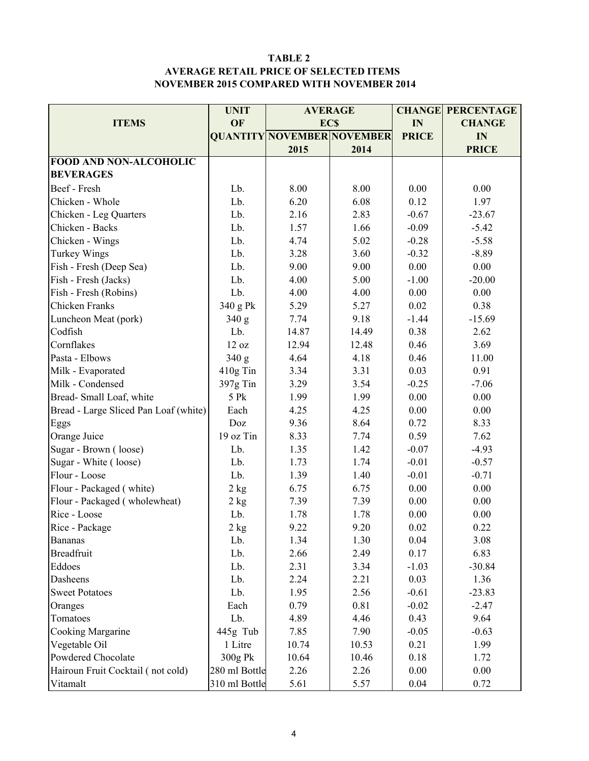#### TABLE 2 AVERAGE RETAIL PRICE OF SELECTED ITEMS NOVEMBER 2015 COMPARED WITH NOVEMBER 2014

|                                       | <b>UNIT</b>   | <b>AVERAGE</b>                    |       | <b>CHANGE</b> | <b>PERCENTAGE</b> |
|---------------------------------------|---------------|-----------------------------------|-------|---------------|-------------------|
| <b>ITEMS</b>                          | OF            | <b>ECS</b>                        |       | IN            | <b>CHANGE</b>     |
|                                       |               | <b>QUANTITY NOVEMBER NOVEMBER</b> |       | <b>PRICE</b>  | IN                |
|                                       |               | 2015                              | 2014  |               | <b>PRICE</b>      |
| <b>FOOD AND NON-ALCOHOLIC</b>         |               |                                   |       |               |                   |
| <b>BEVERAGES</b>                      |               |                                   |       |               |                   |
| Beef - Fresh                          | Lb.           | 8.00                              | 8.00  | 0.00          | 0.00              |
| Chicken - Whole                       | Lb.           | 6.20                              | 6.08  | 0.12          | 1.97              |
| Chicken - Leg Quarters                | Lb.           | 2.16                              | 2.83  | $-0.67$       | $-23.67$          |
| Chicken - Backs                       | Lb.           | 1.57                              | 1.66  | $-0.09$       | $-5.42$           |
| Chicken - Wings                       | Lb.           | 4.74                              | 5.02  | $-0.28$       | $-5.58$           |
| <b>Turkey Wings</b>                   | Lb.           | 3.28                              | 3.60  | $-0.32$       | $-8.89$           |
| Fish - Fresh (Deep Sea)               | Lb.           | 9.00                              | 9.00  | 0.00          | $0.00\,$          |
| Fish - Fresh (Jacks)                  | Lb.           | 4.00                              | 5.00  | $-1.00$       | $-20.00$          |
| Fish - Fresh (Robins)                 | Lb.           | 4.00                              | 4.00  | 0.00          | 0.00              |
| Chicken Franks                        | 340 g Pk      | 5.29                              | 5.27  | 0.02          | 0.38              |
| Luncheon Meat (pork)                  | 340 g         | 7.74                              | 9.18  | $-1.44$       | $-15.69$          |
| Codfish                               | Lb.           | 14.87                             | 14.49 | 0.38          | 2.62              |
| Cornflakes                            | 12 oz         | 12.94                             | 12.48 | 0.46          | 3.69              |
| Pasta - Elbows                        | 340 g         | 4.64                              | 4.18  | 0.46          | 11.00             |
| Milk - Evaporated                     | 410g Tin      | 3.34                              | 3.31  | 0.03          | 0.91              |
| Milk - Condensed                      | 397g Tin      | 3.29                              | 3.54  | $-0.25$       | $-7.06$           |
| Bread-Small Loaf, white               | 5 Pk          | 1.99                              | 1.99  | 0.00          | $0.00\,$          |
| Bread - Large Sliced Pan Loaf (white) | Each          | 4.25                              | 4.25  | 0.00          | 0.00              |
| Eggs                                  | Doz           | 9.36                              | 8.64  | 0.72          | 8.33              |
| Orange Juice                          | 19 oz Tin     | 8.33                              | 7.74  | 0.59          | 7.62              |
| Sugar - Brown (loose)                 | Lb.           | 1.35                              | 1.42  | $-0.07$       | $-4.93$           |
| Sugar - White (loose)                 | Lb.           | 1.73                              | 1.74  | $-0.01$       | $-0.57$           |
| Flour - Loose                         | Lb.           | 1.39                              | 1.40  | $-0.01$       | $-0.71$           |
| Flour - Packaged (white)              | $2$ kg        | 6.75                              | 6.75  | 0.00          | 0.00              |
| Flour - Packaged (wholewheat)         | 2 kg          | 7.39                              | 7.39  | 0.00          | 0.00              |
| Rice - Loose                          | Lb.           | 1.78                              | 1.78  | 0.00          | 0.00              |
| Rice - Package                        | 2 kg          | 9.22                              | 9.20  | 0.02          | 0.22              |
| <b>Bananas</b>                        | Lb.           | 1.34                              | 1.30  | 0.04          | 3.08              |
| <b>Breadfruit</b>                     | Lb.           | 2.66                              | 2.49  | 0.17          | 6.83              |
| Eddoes                                | Lb.           | 2.31                              | 3.34  | $-1.03$       | $-30.84$          |
| Dasheens                              | Lb.           | 2.24                              | 2.21  | 0.03          | 1.36              |
| <b>Sweet Potatoes</b>                 | Lb.           | 1.95                              | 2.56  | $-0.61$       | $-23.83$          |
| Oranges                               | Each          | 0.79                              | 0.81  | $-0.02$       | $-2.47$           |
| Tomatoes                              | Lb.           | 4.89                              | 4.46  | 0.43          | 9.64              |
| Cooking Margarine                     | 445g Tub      | 7.85                              | 7.90  | $-0.05$       | $-0.63$           |
| Vegetable Oil                         | 1 Litre       | 10.74                             | 10.53 | 0.21          | 1.99              |
| Powdered Chocolate                    | 300g Pk       | 10.64                             | 10.46 | 0.18          | 1.72              |
| Hairoun Fruit Cocktail (not cold)     | 280 ml Bottle | 2.26                              | 2.26  | 0.00          | 0.00              |
| Vitamalt                              | 310 ml Bottle | 5.61                              | 5.57  | 0.04          | 0.72              |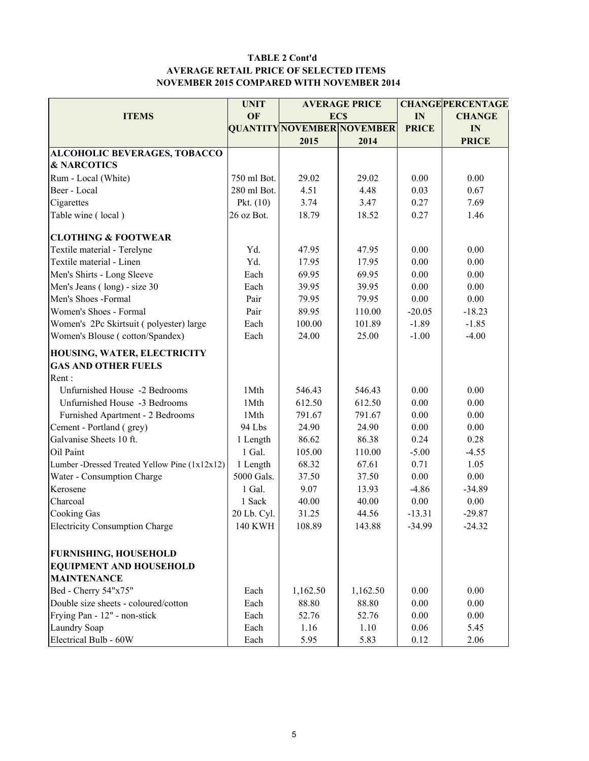#### TABLE 2 Cont'd AVERAGE RETAIL PRICE OF SELECTED ITEMS NOVEMBER 2015 COMPARED WITH NOVEMBER 2014

| OF<br>IN<br><b>ECS</b><br><b>CHANGE</b><br><b>ITEMS</b><br><b>QUANTITY NOVEMBER NOVEMBER</b><br><b>PRICE</b><br>IN<br>2015<br>2014<br><b>PRICE</b><br><b>ALCOHOLIC BEVERAGES, TOBACCO</b><br><b>&amp; NARCOTICS</b><br>Rum - Local (White)<br>750 ml Bot.<br>29.02<br>29.02<br>0.00<br>0.00<br>280 ml Bot.<br>4.51<br>0.03<br>Beer - Local<br>4.48<br>0.67<br>Cigarettes<br>3.74<br>3.47<br>0.27<br>7.69<br>Pkt. $(10)$<br>Table wine (local)<br>26 oz Bot.<br>18.52<br>0.27<br>18.79<br>1.46<br><b>CLOTHING &amp; FOOTWEAR</b><br>0.00<br>0.00<br>Textile material - Terelyne<br>Yd.<br>47.95<br>47.95<br>Textile material - Linen<br>Yd.<br>0.00<br>0.00<br>17.95<br>17.95<br>Men's Shirts - Long Sleeve<br>69.95<br>$0.00\,$<br>Each<br>69.95<br>0.00<br>0.00<br>$0.00\,$<br>Men's Jeans (long) - size 30<br>Each<br>39.95<br>39.95<br>Men's Shoes -Formal<br>Pair<br>0.00<br>0.00<br>79.95<br>79.95<br>Women's Shoes - Formal<br>Pair<br>89.95<br>110.00<br>$-20.05$<br>$-18.23$<br>100.00<br>101.89<br>$-1.89$<br>Women's 2Pc Skirtsuit (polyester) large<br>Each<br>$-1.85$<br>24.00<br>Women's Blouse (cotton/Spandex)<br>Each<br>25.00<br>$-1.00$<br>$-4.00$<br>HOUSING, WATER, ELECTRICITY<br><b>GAS AND OTHER FUELS</b><br>Rent:<br>0.00<br>Unfurnished House -2 Bedrooms<br>1Mth<br>546.43<br>546.43<br>0.00<br>Unfurnished House -3 Bedrooms<br>0.00<br>0.00<br>1Mth<br>612.50<br>612.50<br>Furnished Apartment - 2 Bedrooms<br>1Mth<br>791.67<br>791.67<br>0.00<br>0.00<br>Cement - Portland (grey)<br>94 Lbs<br>24.90<br>24.90<br>0.00<br>0.00<br>Galvanise Sheets 10 ft.<br>86.62<br>86.38<br>0.24<br>0.28<br>1 Length |
|---------------------------------------------------------------------------------------------------------------------------------------------------------------------------------------------------------------------------------------------------------------------------------------------------------------------------------------------------------------------------------------------------------------------------------------------------------------------------------------------------------------------------------------------------------------------------------------------------------------------------------------------------------------------------------------------------------------------------------------------------------------------------------------------------------------------------------------------------------------------------------------------------------------------------------------------------------------------------------------------------------------------------------------------------------------------------------------------------------------------------------------------------------------------------------------------------------------------------------------------------------------------------------------------------------------------------------------------------------------------------------------------------------------------------------------------------------------------------------------------------------------------------------------------------------------------------------------------------------------------------------------|
|                                                                                                                                                                                                                                                                                                                                                                                                                                                                                                                                                                                                                                                                                                                                                                                                                                                                                                                                                                                                                                                                                                                                                                                                                                                                                                                                                                                                                                                                                                                                                                                                                                       |
|                                                                                                                                                                                                                                                                                                                                                                                                                                                                                                                                                                                                                                                                                                                                                                                                                                                                                                                                                                                                                                                                                                                                                                                                                                                                                                                                                                                                                                                                                                                                                                                                                                       |
|                                                                                                                                                                                                                                                                                                                                                                                                                                                                                                                                                                                                                                                                                                                                                                                                                                                                                                                                                                                                                                                                                                                                                                                                                                                                                                                                                                                                                                                                                                                                                                                                                                       |
|                                                                                                                                                                                                                                                                                                                                                                                                                                                                                                                                                                                                                                                                                                                                                                                                                                                                                                                                                                                                                                                                                                                                                                                                                                                                                                                                                                                                                                                                                                                                                                                                                                       |
|                                                                                                                                                                                                                                                                                                                                                                                                                                                                                                                                                                                                                                                                                                                                                                                                                                                                                                                                                                                                                                                                                                                                                                                                                                                                                                                                                                                                                                                                                                                                                                                                                                       |
|                                                                                                                                                                                                                                                                                                                                                                                                                                                                                                                                                                                                                                                                                                                                                                                                                                                                                                                                                                                                                                                                                                                                                                                                                                                                                                                                                                                                                                                                                                                                                                                                                                       |
|                                                                                                                                                                                                                                                                                                                                                                                                                                                                                                                                                                                                                                                                                                                                                                                                                                                                                                                                                                                                                                                                                                                                                                                                                                                                                                                                                                                                                                                                                                                                                                                                                                       |
|                                                                                                                                                                                                                                                                                                                                                                                                                                                                                                                                                                                                                                                                                                                                                                                                                                                                                                                                                                                                                                                                                                                                                                                                                                                                                                                                                                                                                                                                                                                                                                                                                                       |
|                                                                                                                                                                                                                                                                                                                                                                                                                                                                                                                                                                                                                                                                                                                                                                                                                                                                                                                                                                                                                                                                                                                                                                                                                                                                                                                                                                                                                                                                                                                                                                                                                                       |
|                                                                                                                                                                                                                                                                                                                                                                                                                                                                                                                                                                                                                                                                                                                                                                                                                                                                                                                                                                                                                                                                                                                                                                                                                                                                                                                                                                                                                                                                                                                                                                                                                                       |
|                                                                                                                                                                                                                                                                                                                                                                                                                                                                                                                                                                                                                                                                                                                                                                                                                                                                                                                                                                                                                                                                                                                                                                                                                                                                                                                                                                                                                                                                                                                                                                                                                                       |
|                                                                                                                                                                                                                                                                                                                                                                                                                                                                                                                                                                                                                                                                                                                                                                                                                                                                                                                                                                                                                                                                                                                                                                                                                                                                                                                                                                                                                                                                                                                                                                                                                                       |
|                                                                                                                                                                                                                                                                                                                                                                                                                                                                                                                                                                                                                                                                                                                                                                                                                                                                                                                                                                                                                                                                                                                                                                                                                                                                                                                                                                                                                                                                                                                                                                                                                                       |
|                                                                                                                                                                                                                                                                                                                                                                                                                                                                                                                                                                                                                                                                                                                                                                                                                                                                                                                                                                                                                                                                                                                                                                                                                                                                                                                                                                                                                                                                                                                                                                                                                                       |
|                                                                                                                                                                                                                                                                                                                                                                                                                                                                                                                                                                                                                                                                                                                                                                                                                                                                                                                                                                                                                                                                                                                                                                                                                                                                                                                                                                                                                                                                                                                                                                                                                                       |
|                                                                                                                                                                                                                                                                                                                                                                                                                                                                                                                                                                                                                                                                                                                                                                                                                                                                                                                                                                                                                                                                                                                                                                                                                                                                                                                                                                                                                                                                                                                                                                                                                                       |
|                                                                                                                                                                                                                                                                                                                                                                                                                                                                                                                                                                                                                                                                                                                                                                                                                                                                                                                                                                                                                                                                                                                                                                                                                                                                                                                                                                                                                                                                                                                                                                                                                                       |
|                                                                                                                                                                                                                                                                                                                                                                                                                                                                                                                                                                                                                                                                                                                                                                                                                                                                                                                                                                                                                                                                                                                                                                                                                                                                                                                                                                                                                                                                                                                                                                                                                                       |
|                                                                                                                                                                                                                                                                                                                                                                                                                                                                                                                                                                                                                                                                                                                                                                                                                                                                                                                                                                                                                                                                                                                                                                                                                                                                                                                                                                                                                                                                                                                                                                                                                                       |
|                                                                                                                                                                                                                                                                                                                                                                                                                                                                                                                                                                                                                                                                                                                                                                                                                                                                                                                                                                                                                                                                                                                                                                                                                                                                                                                                                                                                                                                                                                                                                                                                                                       |
|                                                                                                                                                                                                                                                                                                                                                                                                                                                                                                                                                                                                                                                                                                                                                                                                                                                                                                                                                                                                                                                                                                                                                                                                                                                                                                                                                                                                                                                                                                                                                                                                                                       |
|                                                                                                                                                                                                                                                                                                                                                                                                                                                                                                                                                                                                                                                                                                                                                                                                                                                                                                                                                                                                                                                                                                                                                                                                                                                                                                                                                                                                                                                                                                                                                                                                                                       |
|                                                                                                                                                                                                                                                                                                                                                                                                                                                                                                                                                                                                                                                                                                                                                                                                                                                                                                                                                                                                                                                                                                                                                                                                                                                                                                                                                                                                                                                                                                                                                                                                                                       |
|                                                                                                                                                                                                                                                                                                                                                                                                                                                                                                                                                                                                                                                                                                                                                                                                                                                                                                                                                                                                                                                                                                                                                                                                                                                                                                                                                                                                                                                                                                                                                                                                                                       |
|                                                                                                                                                                                                                                                                                                                                                                                                                                                                                                                                                                                                                                                                                                                                                                                                                                                                                                                                                                                                                                                                                                                                                                                                                                                                                                                                                                                                                                                                                                                                                                                                                                       |
|                                                                                                                                                                                                                                                                                                                                                                                                                                                                                                                                                                                                                                                                                                                                                                                                                                                                                                                                                                                                                                                                                                                                                                                                                                                                                                                                                                                                                                                                                                                                                                                                                                       |
| Oil Paint<br>1 Gal.<br>105.00<br>110.00<br>$-5.00$<br>$-4.55$                                                                                                                                                                                                                                                                                                                                                                                                                                                                                                                                                                                                                                                                                                                                                                                                                                                                                                                                                                                                                                                                                                                                                                                                                                                                                                                                                                                                                                                                                                                                                                         |
| 68.32<br>0.71<br>1.05<br>Lumber -Dressed Treated Yellow Pine (1x12x12)<br>1 Length<br>67.61                                                                                                                                                                                                                                                                                                                                                                                                                                                                                                                                                                                                                                                                                                                                                                                                                                                                                                                                                                                                                                                                                                                                                                                                                                                                                                                                                                                                                                                                                                                                           |
| Water - Consumption Charge<br>5000 Gals.<br>37.50<br>0.00<br>$0.00\,$<br>37.50                                                                                                                                                                                                                                                                                                                                                                                                                                                                                                                                                                                                                                                                                                                                                                                                                                                                                                                                                                                                                                                                                                                                                                                                                                                                                                                                                                                                                                                                                                                                                        |
| 1 Gal.<br>9.07<br>Kerosene<br>13.93<br>$-4.86$<br>$-34.89$                                                                                                                                                                                                                                                                                                                                                                                                                                                                                                                                                                                                                                                                                                                                                                                                                                                                                                                                                                                                                                                                                                                                                                                                                                                                                                                                                                                                                                                                                                                                                                            |
| 0.00<br>Charcoal<br>1 Sack<br>40.00<br>40.00<br>0.00                                                                                                                                                                                                                                                                                                                                                                                                                                                                                                                                                                                                                                                                                                                                                                                                                                                                                                                                                                                                                                                                                                                                                                                                                                                                                                                                                                                                                                                                                                                                                                                  |
| <b>Cooking Gas</b><br>31.25<br>44.56<br>$-13.31$<br>20 Lb. Cyl.<br>$-29.87$                                                                                                                                                                                                                                                                                                                                                                                                                                                                                                                                                                                                                                                                                                                                                                                                                                                                                                                                                                                                                                                                                                                                                                                                                                                                                                                                                                                                                                                                                                                                                           |
| <b>Electricity Consumption Charge</b><br><b>140 KWH</b><br>108.89<br>143.88<br>$-24.32$<br>34.99                                                                                                                                                                                                                                                                                                                                                                                                                                                                                                                                                                                                                                                                                                                                                                                                                                                                                                                                                                                                                                                                                                                                                                                                                                                                                                                                                                                                                                                                                                                                      |
| <b>FURNISHING, HOUSEHOLD</b>                                                                                                                                                                                                                                                                                                                                                                                                                                                                                                                                                                                                                                                                                                                                                                                                                                                                                                                                                                                                                                                                                                                                                                                                                                                                                                                                                                                                                                                                                                                                                                                                          |
| <b>EQUIPMENT AND HOUSEHOLD</b>                                                                                                                                                                                                                                                                                                                                                                                                                                                                                                                                                                                                                                                                                                                                                                                                                                                                                                                                                                                                                                                                                                                                                                                                                                                                                                                                                                                                                                                                                                                                                                                                        |
| <b>MAINTENANCE</b>                                                                                                                                                                                                                                                                                                                                                                                                                                                                                                                                                                                                                                                                                                                                                                                                                                                                                                                                                                                                                                                                                                                                                                                                                                                                                                                                                                                                                                                                                                                                                                                                                    |
| Bed - Cherry 54"x75"<br>0.00<br>0.00<br>Each                                                                                                                                                                                                                                                                                                                                                                                                                                                                                                                                                                                                                                                                                                                                                                                                                                                                                                                                                                                                                                                                                                                                                                                                                                                                                                                                                                                                                                                                                                                                                                                          |
| 1,162.50<br>1,162.50<br>Double size sheets - coloured/cotton<br>88.80<br>88.80<br>0.00<br>Each<br>0.00                                                                                                                                                                                                                                                                                                                                                                                                                                                                                                                                                                                                                                                                                                                                                                                                                                                                                                                                                                                                                                                                                                                                                                                                                                                                                                                                                                                                                                                                                                                                |
| Frying Pan - 12" - non-stick<br>Each<br>52.76<br>52.76<br>0.00<br>0.00                                                                                                                                                                                                                                                                                                                                                                                                                                                                                                                                                                                                                                                                                                                                                                                                                                                                                                                                                                                                                                                                                                                                                                                                                                                                                                                                                                                                                                                                                                                                                                |
| Laundry Soap<br>1.16<br>0.06<br>5.45<br>Each<br>1.10                                                                                                                                                                                                                                                                                                                                                                                                                                                                                                                                                                                                                                                                                                                                                                                                                                                                                                                                                                                                                                                                                                                                                                                                                                                                                                                                                                                                                                                                                                                                                                                  |
| Electrical Bulb - 60W<br>5.95<br>5.83<br>0.12<br>2.06<br>Each                                                                                                                                                                                                                                                                                                                                                                                                                                                                                                                                                                                                                                                                                                                                                                                                                                                                                                                                                                                                                                                                                                                                                                                                                                                                                                                                                                                                                                                                                                                                                                         |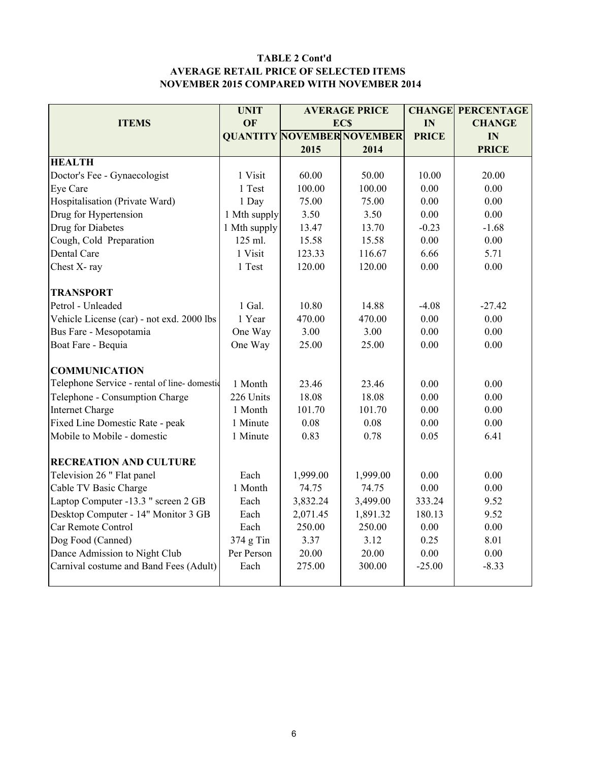#### TABLE 2 Cont'd AVERAGE RETAIL PRICE OF SELECTED ITEMS NOVEMBER 2015 COMPARED WITH NOVEMBER 2014

|                                              | <b>UNIT</b><br><b>AVERAGE PRICE</b> |                                   |          | <b>CHANGE</b> | <b>PERCENTAGE</b> |
|----------------------------------------------|-------------------------------------|-----------------------------------|----------|---------------|-------------------|
| <b>ITEMS</b>                                 | OF                                  | <b>ECS</b>                        |          |               | <b>CHANGE</b>     |
|                                              |                                     | <b>QUANTITY NOVEMBER NOVEMBER</b> |          |               | IN                |
|                                              |                                     | 2015                              | 2014     |               | <b>PRICE</b>      |
| <b>HEALTH</b>                                |                                     |                                   |          |               |                   |
| Doctor's Fee - Gynaecologist                 | 1 Visit                             | 60.00                             | 50.00    | 10.00         | 20.00             |
| Eye Care                                     | 1 Test                              | 100.00                            | 100.00   | 0.00          | 0.00              |
| Hospitalisation (Private Ward)               | 1 Day                               | 75.00                             | 75.00    | 0.00          | 0.00              |
| Drug for Hypertension                        | 1 Mth supply                        | 3.50                              | 3.50     | 0.00          | 0.00              |
| Drug for Diabetes                            | 1 Mth supply                        | 13.47                             | 13.70    | $-0.23$       | $-1.68$           |
| Cough, Cold Preparation                      | 125 ml.                             | 15.58                             | 15.58    | 0.00          | 0.00              |
| Dental Care                                  | 1 Visit                             | 123.33                            | 116.67   | 6.66          | 5.71              |
| Chest X-ray                                  | 1 Test                              | 120.00                            | 120.00   | 0.00          | 0.00              |
|                                              |                                     |                                   |          |               |                   |
| <b>TRANSPORT</b>                             |                                     |                                   |          |               |                   |
| Petrol - Unleaded                            | 1 Gal.                              | 10.80                             | 14.88    | $-4.08$       | $-27.42$          |
| Vehicle License (car) - not exd. 2000 lbs    | 1 Year                              | 470.00                            | 470.00   | 0.00          | 0.00              |
| Bus Fare - Mesopotamia                       | One Way                             | 3.00                              | 3.00     | 0.00          | 0.00              |
| Boat Fare - Bequia                           | One Way                             | 25.00                             | 25.00    | 0.00          | 0.00              |
|                                              |                                     |                                   |          |               |                   |
| <b>COMMUNICATION</b>                         |                                     |                                   |          |               |                   |
| Telephone Service - rental of line- domestic | 1 Month                             | 23.46                             | 23.46    | 0.00          | 0.00              |
| Telephone - Consumption Charge               | 226 Units                           | 18.08                             | 18.08    | 0.00          | 0.00              |
| <b>Internet Charge</b>                       | 1 Month                             | 101.70                            | 101.70   | 0.00          | 0.00              |
| Fixed Line Domestic Rate - peak              | 1 Minute                            | 0.08                              | 0.08     | 0.00          | 0.00              |
| Mobile to Mobile - domestic                  | 1 Minute                            | 0.83                              | 0.78     | 0.05          | 6.41              |
| <b>RECREATION AND CULTURE</b>                |                                     |                                   |          |               |                   |
| Television 26 " Flat panel                   | Each                                | 1,999.00                          | 1,999.00 | 0.00          | 0.00              |
| Cable TV Basic Charge                        | 1 Month                             | 74.75                             | 74.75    | 0.00          | 0.00              |
| Laptop Computer -13.3 " screen 2 GB          | Each                                | 3,832.24                          | 3,499.00 | 333.24        | 9.52              |
| Desktop Computer - 14" Monitor 3 GB          | Each                                | 2,071.45                          | 1,891.32 | 180.13        | 9.52              |
| Car Remote Control                           | Each                                | 250.00                            | 250.00   | 0.00          | 0.00              |
| Dog Food (Canned)                            | 374 g Tin                           | 3.37                              | 3.12     | 0.25          | 8.01              |
| Dance Admission to Night Club                | Per Person                          | 20.00                             | 20.00    | 0.00          | 0.00              |
| Carnival costume and Band Fees (Adult)       | Each                                | 275.00                            | 300.00   | $-25.00$      | $-8.33$           |
|                                              |                                     |                                   |          |               |                   |
|                                              |                                     |                                   |          |               |                   |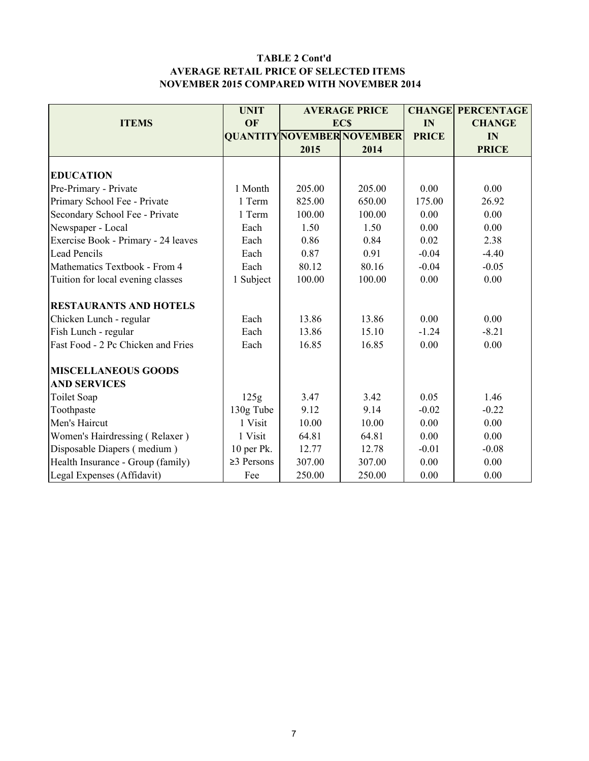#### TABLE 2 Cont'd AVERAGE RETAIL PRICE OF SELECTED ITEMS NOVEMBER 2015 COMPARED WITH NOVEMBER 2014

|                                     | <b>UNIT</b>      | <b>AVERAGE PRICE</b> |                                   |              | <b>CHANGE PERCENTAGE</b> |
|-------------------------------------|------------------|----------------------|-----------------------------------|--------------|--------------------------|
| <b>ITEMS</b>                        | OF               |                      | <b>ECS</b>                        | IN           | <b>CHANGE</b>            |
|                                     |                  |                      | <b>QUANTITY NOVEMBER NOVEMBER</b> | <b>PRICE</b> | IN                       |
|                                     |                  | 2015                 | 2014                              |              | <b>PRICE</b>             |
|                                     |                  |                      |                                   |              |                          |
| <b>EDUCATION</b>                    |                  |                      |                                   |              |                          |
| Pre-Primary - Private               | 1 Month          | 205.00               | 205.00                            | 0.00         | 0.00                     |
| Primary School Fee - Private        | 1 Term           | 825.00               | 650.00                            | 175.00       | 26.92                    |
| Secondary School Fee - Private      | 1 Term           | 100.00               | 100.00                            | 0.00         | 0.00                     |
| Newspaper - Local                   | Each             | 1.50                 | 1.50                              | 0.00         | 0.00                     |
| Exercise Book - Primary - 24 leaves | Each             | 0.86                 | 0.84                              | 0.02         | 2.38                     |
| <b>Lead Pencils</b>                 | Each             | 0.87                 | 0.91                              | $-0.04$      | $-4.40$                  |
| Mathematics Textbook - From 4       | Each             | 80.12                | 80.16                             | $-0.04$      | $-0.05$                  |
| Tuition for local evening classes   | 1 Subject        | 100.00               | 100.00                            | 0.00         | 0.00                     |
| <b>RESTAURANTS AND HOTELS</b>       |                  |                      |                                   |              |                          |
| Chicken Lunch - regular             | Each             | 13.86                | 13.86                             | 0.00         | 0.00                     |
| Fish Lunch - regular                | Each             | 13.86                | 15.10                             | $-1.24$      | $-8.21$                  |
| Fast Food - 2 Pc Chicken and Fries  | Each             | 16.85                | 16.85                             | 0.00         | 0.00                     |
| <b>MISCELLANEOUS GOODS</b>          |                  |                      |                                   |              |                          |
| <b>AND SERVICES</b>                 |                  |                      |                                   |              |                          |
| Toilet Soap                         | 125g             | 3.47                 | 3.42                              | 0.05         | 1.46                     |
| Toothpaste                          | 130g Tube        | 9.12                 | 9.14                              | $-0.02$      | $-0.22$                  |
| Men's Haircut                       | 1 Visit          | 10.00                | 10.00                             | 0.00         | 0.00                     |
| Women's Hairdressing (Relaxer)      | 1 Visit          | 64.81                | 64.81                             | 0.00         | 0.00                     |
| Disposable Diapers (medium)         | 10 per Pk.       | 12.77                | 12.78                             | $-0.01$      | $-0.08$                  |
| Health Insurance - Group (family)   | $\geq$ 3 Persons | 307.00               | 307.00                            | 0.00         | 0.00                     |
| Legal Expenses (Affidavit)          | Fee              | 250.00               | 250.00                            | 0.00         | 0.00                     |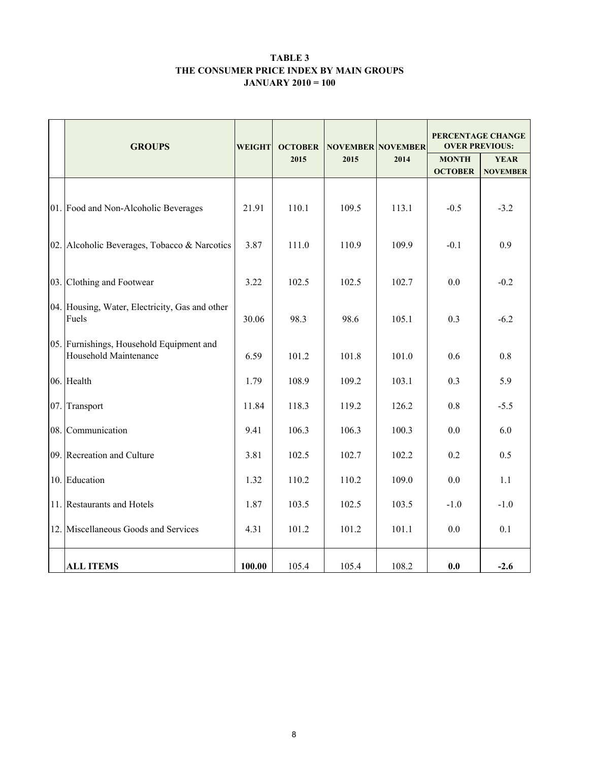#### TABLE 3 THE CONSUMER PRICE INDEX BY MAIN GROUPS JANUARY 2010 = 100

| <b>GROUPS</b>                                                     | WEIGHT | <b>OCTOBER</b> | <b>NOVEMBER NOVEMBER</b> |       | PERCENTAGE CHANGE<br><b>OVER PREVIOUS:</b> |                                |  |
|-------------------------------------------------------------------|--------|----------------|--------------------------|-------|--------------------------------------------|--------------------------------|--|
|                                                                   |        | 2015           | 2015                     | 2014  | <b>MONTH</b><br><b>OCTOBER</b>             | <b>YEAR</b><br><b>NOVEMBER</b> |  |
| 01. Food and Non-Alcoholic Beverages                              | 21.91  | 110.1          | 109.5                    | 113.1 | $-0.5$                                     | $-3.2$                         |  |
| 02. Alcoholic Beverages, Tobacco & Narcotics                      | 3.87   | 111.0          | 110.9                    | 109.9 | $-0.1$                                     | 0.9                            |  |
| 03. Clothing and Footwear                                         | 3.22   | 102.5          | 102.5                    | 102.7 | 0.0                                        | $-0.2$                         |  |
| 04. Housing, Water, Electricity, Gas and other<br>Fuels           | 30.06  | 98.3           | 98.6                     | 105.1 | 0.3                                        | $-6.2$                         |  |
| 05. Furnishings, Household Equipment and<br>Household Maintenance | 6.59   | 101.2          | 101.8                    | 101.0 | 0.6                                        | 0.8                            |  |
| 06. Health                                                        | 1.79   | 108.9          | 109.2                    | 103.1 | 0.3                                        | 5.9                            |  |
| 07. Transport                                                     | 11.84  | 118.3          | 119.2                    | 126.2 | 0.8                                        | $-5.5$                         |  |
| 08. Communication                                                 | 9.41   | 106.3          | 106.3                    | 100.3 | 0.0                                        | 6.0                            |  |
| 09. Recreation and Culture                                        | 3.81   | 102.5          | 102.7                    | 102.2 | 0.2                                        | 0.5                            |  |
| 10. Education                                                     | 1.32   | 110.2          | 110.2                    | 109.0 | 0.0                                        | 1.1                            |  |
| 11. Restaurants and Hotels                                        | 1.87   | 103.5          | 102.5                    | 103.5 | $-1.0$                                     | $-1.0$                         |  |
| 12. Miscellaneous Goods and Services                              | 4.31   | 101.2          | 101.2                    | 101.1 | 0.0                                        | 0.1                            |  |
| <b>ALL ITEMS</b>                                                  | 100.00 | 105.4          | 105.4                    | 108.2 | 0.0                                        | $-2.6$                         |  |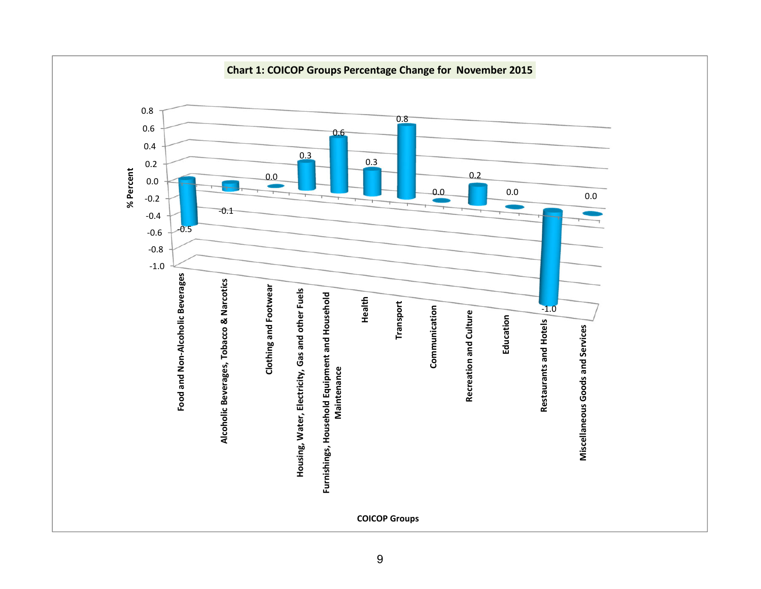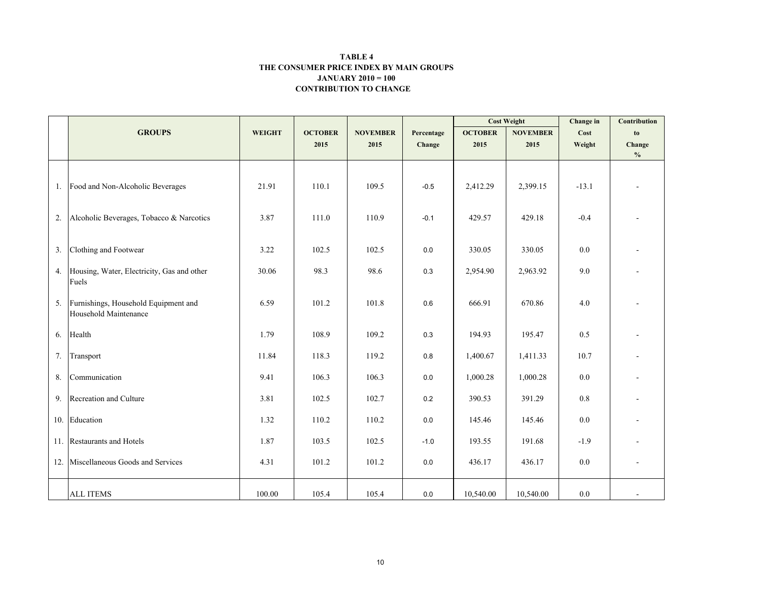#### CONTRIBUTION TO CHANGE TABLE 4 THE CONSUMER PRICE INDEX BY MAIN GROUPSJANUARY 2010 = 100

|    |                                                               |               |                |                 |            |                | <b>Cost Weight</b> | Change in | Contribution                       |
|----|---------------------------------------------------------------|---------------|----------------|-----------------|------------|----------------|--------------------|-----------|------------------------------------|
|    | <b>GROUPS</b>                                                 | <b>WEIGHT</b> | <b>OCTOBER</b> | <b>NOVEMBER</b> | Percentage | <b>OCTOBER</b> | <b>NOVEMBER</b>    | Cost      | to                                 |
|    |                                                               |               | 2015           | 2015            | Change     | 2015           | 2015               | Weight    | Change                             |
|    |                                                               |               |                |                 |            |                |                    |           | $\mathbf{0}_{\mathbf{0}}^{\prime}$ |
|    | 1. Food and Non-Alcoholic Beverages                           | 21.91         | 110.1          | 109.5           | $-0.5$     | 2,412.29       | 2,399.15           | $-13.1$   |                                    |
|    | 2. Alcoholic Beverages, Tobacco & Narcotics                   | 3.87          | 111.0          | 110.9           | $-0.1$     | 429.57         | 429.18             | $-0.4$    |                                    |
| 3. | Clothing and Footwear                                         | 3.22          | 102.5          | 102.5           | 0.0        | 330.05         | 330.05             | 0.0       |                                    |
|    | 4. Housing, Water, Electricity, Gas and other<br>Fuels        | 30.06         | 98.3           | 98.6            | 0.3        | 2,954.90       | 2,963.92           | 9.0       |                                    |
| 5. | Furnishings, Household Equipment and<br>Household Maintenance | 6.59          | 101.2          | 101.8           | 0.6        | 666.91         | 670.86             | 4.0       |                                    |
| 6. | Health                                                        | 1.79          | 108.9          | 109.2           | 0.3        | 194.93         | 195.47             | 0.5       |                                    |
| 7. | Transport                                                     | 11.84         | 118.3          | 119.2           | 0.8        | 1,400.67       | 1,411.33           | 10.7      |                                    |
| 8. | Communication                                                 | 9.41          | 106.3          | 106.3           | 0.0        | 1,000.28       | 1,000.28           | 0.0       |                                    |
|    | 9. Recreation and Culture                                     | 3.81          | 102.5          | 102.7           | 0.2        | 390.53         | 391.29             | $0.8\,$   |                                    |
|    | 10. Education                                                 | 1.32          | 110.2          | 110.2           | 0.0        | 145.46         | 145.46             | 0.0       |                                    |
|    | 11. Restaurants and Hotels                                    | 1.87          | 103.5          | 102.5           | $-1.0$     | 193.55         | 191.68             | $-1.9$    |                                    |
|    | 12. Miscellaneous Goods and Services                          | 4.31          | 101.2          | 101.2           | 0.0        | 436.17         | 436.17             | $0.0\,$   |                                    |
|    | <b>ALL ITEMS</b>                                              | 100.00        | 105.4          | 105.4           | 0.0        | 10,540.00      | 10,540.00          | 0.0       |                                    |